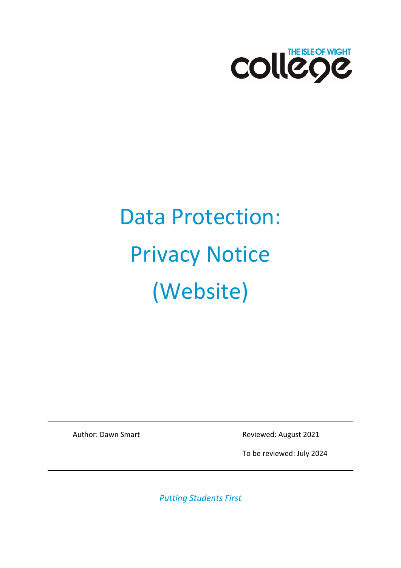

# Data Protection: Privacy Notice (Website)

Author: Dawn Smart **Reviewed: August 2021** 

To be reviewed: July 2024

*Putting Students First*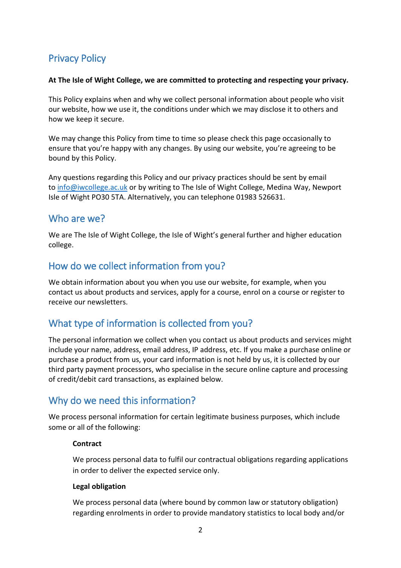# Privacy Policy

#### **At The Isle of Wight College, we are committed to protecting and respecting your privacy.**

This Policy explains when and why we collect personal information about people who visit our website, how we use it, the conditions under which we may disclose it to others and how we keep it secure.

We may change this Policy from time to time so please check this page occasionally to ensure that you're happy with any changes. By using our website, you're agreeing to be bound by this Policy.

Any questions regarding this Policy and our privacy practices should be sent by email to [info@iwcollege.ac.uk](mailto:info@iwcollege.ac.uk) or by writing to The Isle of Wight College, Medina Way, Newport Isle of Wight PO30 5TA. Alternatively, you can telephone 01983 526631.

#### Who are we?

We are The Isle of Wight College, the Isle of Wight's general further and higher education college.

## How do we collect information from you?

We obtain information about you when you use our website, for example, when you contact us about products and services, apply for a course, enrol on a course or register to receive our newsletters.

# What type of information is collected from you?

The personal information we collect when you contact us about products and services might include your name, address, email address, IP address, etc. If you make a purchase online or purchase a product from us, your card information is not held by us, it is collected by our third party payment processors, who specialise in the secure online capture and processing of credit/debit card transactions, as explained below.

# Why do we need this information?

We process personal information for certain legitimate business purposes, which include some or all of the following:

#### **Contract**

We process personal data to fulfil our contractual obligations regarding applications in order to deliver the expected service only.

#### **Legal obligation**

We process personal data (where bound by common law or statutory obligation) regarding enrolments in order to provide mandatory statistics to local body and/or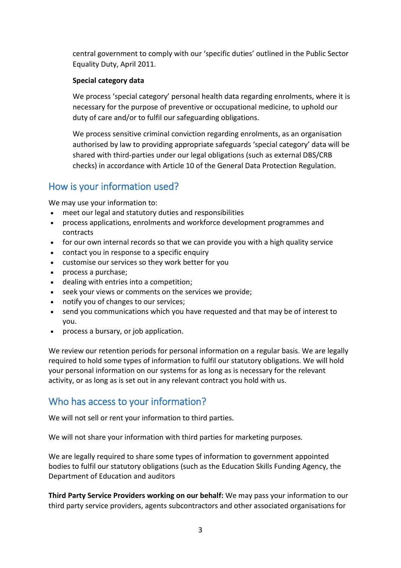central government to comply with our 'specific duties' outlined in the Public Sector Equality Duty, April 2011.

#### **Special category data**

We process 'special category' personal health data regarding enrolments, where it is necessary for the purpose of preventive or occupational medicine, to uphold our duty of care and/or to fulfil our safeguarding obligations.

We process sensitive criminal conviction regarding enrolments, as an organisation authorised by law to providing appropriate safeguards 'special category' data will be shared with third-parties under our legal obligations (such as external DBS/CRB checks) in accordance with Article 10 of the General Data Protection Regulation.

## How is your information used?

We may use your information to:

- meet our legal and statutory duties and responsibilities
- process applications, enrolments and workforce development programmes and contracts
- for our own internal records so that we can provide you with a high quality service
- contact you in response to a specific enquiry
- customise our services so they work better for you
- process a purchase;
- dealing with entries into a competition;
- seek your views or comments on the services we provide;
- notify you of changes to our services;
- send you communications which you have requested and that may be of interest to you.
- process a bursary, or job application.

We review our retention periods for personal information on a regular basis. We are legally required to hold some types of information to fulfil our statutory obligations. We will hold your personal information on our systems for as long as is necessary for the relevant activity, or as long as is set out in any relevant contract you hold with us.

#### Who has access to your information?

We will not sell or rent your information to third parties.

We will not share your information with third parties for marketing purposes.

We are legally required to share some types of information to government appointed bodies to fulfil our statutory obligations (such as the Education Skills Funding Agency, the Department of Education and auditors

**Third Party Service Providers working on our behalf:** We may pass your information to our third party service providers, agents subcontractors and other associated organisations for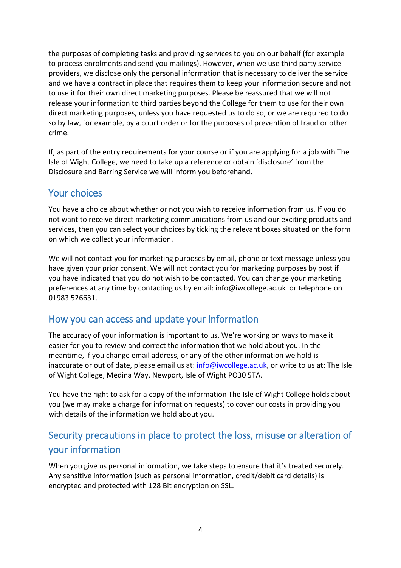the purposes of completing tasks and providing services to you on our behalf (for example to process enrolments and send you mailings). However, when we use third party service providers, we disclose only the personal information that is necessary to deliver the service and we have a contract in place that requires them to keep your information secure and not to use it for their own direct marketing purposes. Please be reassured that we will not release your information to third parties beyond the College for them to use for their own direct marketing purposes, unless you have requested us to do so, or we are required to do so by law, for example, by a court order or for the purposes of prevention of fraud or other crime.

If, as part of the entry requirements for your course or if you are applying for a job with The Isle of Wight College, we need to take up a reference or obtain 'disclosure' from the Disclosure and Barring Service we will inform you beforehand.

### Your choices

You have a choice about whether or not you wish to receive information from us. If you do not want to receive direct marketing communications from us and our exciting products and services, then you can select your choices by ticking the relevant boxes situated on the form on which we collect your information.

We will not contact you for marketing purposes by email, phone or text message unless you have given your prior consent. We will not contact you for marketing purposes by post if you have indicated that you do not wish to be contacted. You can change your marketing preferences at any time by contacting us by email: [info@iwcollege.ac.uk](mailto:info@iwcollege.ac.uk) or telephone on 01983 526631.

## How you can access and update your information

The accuracy of your information is important to us. We're working on ways to make it easier for you to review and correct the information that we hold about you. In the meantime, if you change email address, or any of the other information we hold is inaccurate or out of date, please email us at: [info@iwcollege.ac.uk,](mailto:info@iwcollege.ac.uk) or write to us at: The Isle of Wight College, Medina Way, Newport, Isle of Wight PO30 5TA.

You have the right to ask for a copy of the information The Isle of Wight College holds about you (we may make a charge for information requests) to cover our costs in providing you with details of the information we hold about you.

# Security precautions in place to protect the loss, misuse or alteration of your information

When you give us personal information, we take steps to ensure that it's treated securely. Any sensitive information (such as personal information, credit/debit card details) is encrypted and protected with 128 Bit encryption on SSL.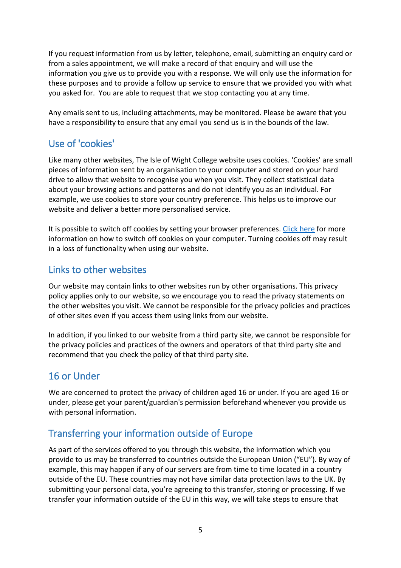If you request information from us by letter, telephone, email, submitting an enquiry card or from a sales appointment, we will make a record of that enquiry and will use the information you give us to provide you with a response. We will only use the information for these purposes and to provide a follow up service to ensure that we provided you with what you asked for. You are able to request that we stop contacting you at any time.

Any emails sent to us, including attachments, may be monitored. Please be aware that you have a responsibility to ensure that any email you send us is in the bounds of the law.

## Use of 'cookies'

Like many other websites, The Isle of Wight College website uses cookies. 'Cookies' are small pieces of information sent by an organisation to your computer and stored on your hard drive to allow that website to recognise you when you visit. They collect statistical data about your browsing actions and patterns and do not identify you as an individual. For example, we use cookies to store your country preference. This helps us to improve our website and deliver a better more personalised service.

It is possible to switch off cookies by setting your browser preferences. [Click here](https://support.google.com/accounts/answer/61416?hl=en&co=GENIE.Platform%3DDesktop) for more information on how to switch off cookies on your computer. Turning cookies off may result in a loss of functionality when using our website.

### Links to other websites

Our website may contain links to other websites run by other organisations. This privacy policy applies only to our website, so we encourage you to read the privacy statements on the other websites you visit. We cannot be responsible for the privacy policies and practices of other sites even if you access them using links from our website.

In addition, if you linked to our website from a third party site, we cannot be responsible for the privacy policies and practices of the owners and operators of that third party site and recommend that you check the policy of that third party site.

# 16 or Under

We are concerned to protect the privacy of children aged 16 or under. If you are aged 16 or under, please get your parent/guardian's permission beforehand whenever you provide us with personal information.

# Transferring your information outside of Europe

As part of the services offered to you through this website, the information which you provide to us may be transferred to countries outside the European Union ("EU"). By way of example, this may happen if any of our servers are from time to time located in a country outside of the EU. These countries may not have similar data protection laws to the UK. By submitting your personal data, you're agreeing to this transfer, storing or processing. If we transfer your information outside of the EU in this way, we will take steps to ensure that